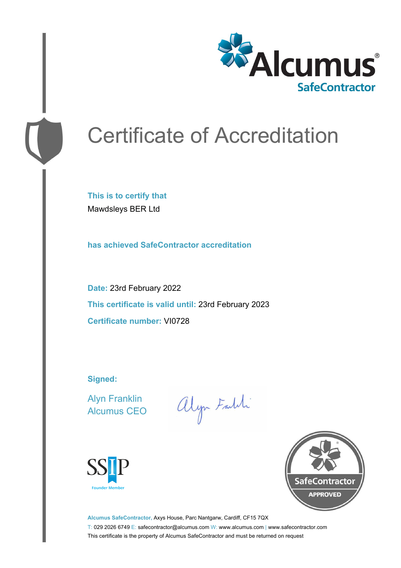

# Certificate of Accreditation

**This is to certify that** Mawdsleys BER Ltd

**has achieved SafeContractor accreditation**

**Date:** 23rd February 2022 **This certificate is valid until:** 23rd February 2023 **Certificate number:** VI0728

**Signed:**

Alyn Franklin Alcumus CEO

alyn Faith





**Alcumus SafeContractor,** Axys House, Parc Nantgarw, Cardiff, CF15 7QX T: 029 2026 6749 E: safecontractor@alcumus.com W: www.alcumus.com | www.safecontractor.com This certificate is the property of Alcumus SafeContractor and must be returned on request